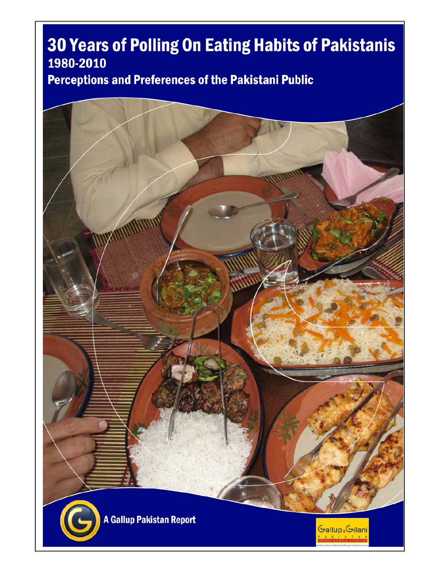## 30 Years of Polling On Eating Habits of Pakistanis 1980-2010

**Perceptions and Preferences of the Pakistani Public** 

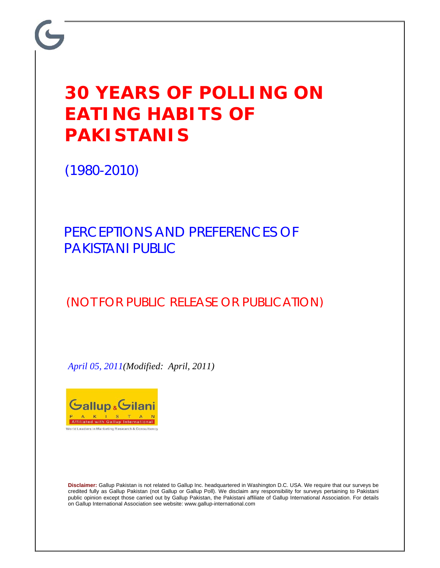## **30 YEARS OF POLLING ON EATING HABITS OF PAKISTANIS**

(1980-2010)

PERCEPTIONS AND PREFERENCES OF PAKISTANI PUBLIC

(NOT FOR PUBLIC RELEASE OR PUBLICATION)

*April 05, 2011(Modified: April, 2011)* 



**Disclaimer:** Gallup Pakistan is not related to Gallup Inc. headquartered in Washington D.C. USA. We require that our surveys be credited fully as Gallup Pakistan (not Gallup or Gallup Poll). We disclaim any responsibility for surveys pertaining to Pakistani public opinion except those carried out by Gallup Pakistan, the Pakistani affiliate of Gallup International Association. For details on Gallup International Association see website: www.gallup-international.com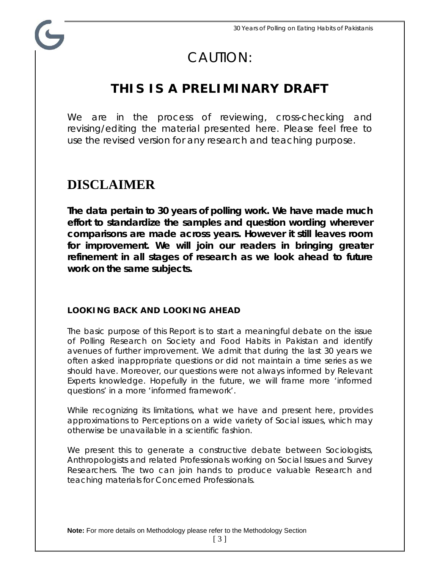## CAUTION:

## **THIS IS A PRELIMINARY DRAFT**

We are in the process of reviewing, cross-checking and revising/editing the material presented here. Please feel free to use the revised version for any research and teaching purpose.

## **DISCLAIMER**

**The data pertain to 30 years of polling work. We have made much effort to standardize the samples and question wording wherever comparisons are made across years. However it still leaves room for improvement. We will join our readers in bringing greater refinement in all stages of research as we look ahead to future work on the same subjects.** 

#### **LOOKING BACK AND LOOKING AHEAD**

The basic purpose of this Report is to start a meaningful debate on the issue of Polling Research on Society and Food Habits in Pakistan and identify avenues of further improvement. We admit that during the last 30 years we often asked inappropriate questions or did not maintain a time series as we should have. Moreover, our questions were not always informed by Relevant Experts knowledge. Hopefully in the future, we will frame more 'informed questions' in a more 'informed framework'.

While recognizing its limitations, what we have and present here, provides approximations to Perceptions on a wide variety of Social issues, which may otherwise be unavailable in a scientific fashion.

We present this to generate a constructive debate between Sociologists, Anthropologists and related Professionals working on Social Issues and Survey Researchers. The two can join hands to produce valuable Research and teaching materials for Concerned Professionals.

**Note:** For more details on Methodology please refer to the Methodology Section

[ 3 ]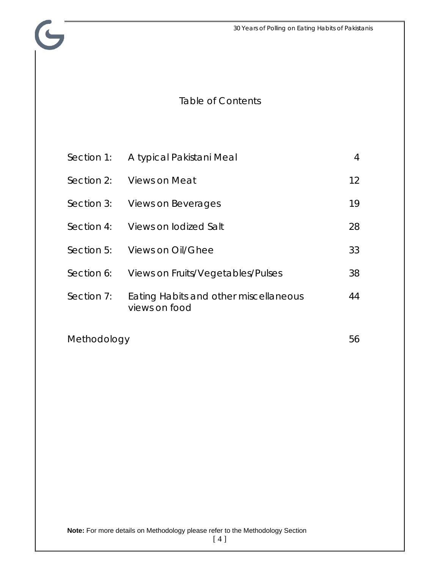## Table of Contents

 $\mathbf{G}$ 

| Section 1:  | A typical Pakistani Meal                               | 4                 |
|-------------|--------------------------------------------------------|-------------------|
| Section 2:  | Views on Meat                                          | $12 \overline{ }$ |
|             | Section 3: Views on Beverages                          | 19                |
| Section 4:  | Views on lodized Salt                                  | 28                |
| Section 5:  | Views on Oil/Ghee                                      | 33                |
| Section 6:  | Views on Fruits/Vegetables/Pulses                      | 38                |
| Section 7:  | Eating Habits and other miscellaneous<br>views on food | 44                |
| Methodology |                                                        | 56                |

[ 4 ]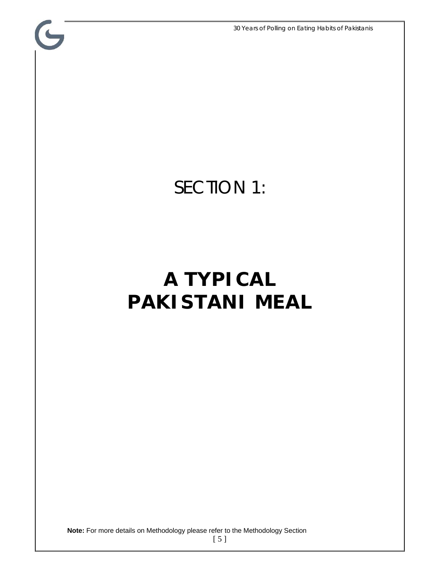30 Years of Polling on Eating Habits of Pakistanis

## SECTION 1:

G

## **A TYPICAL PAKISTANI MEAL**

**Note:** For more details on Methodology please refer to the Methodology Section

[ 5 ]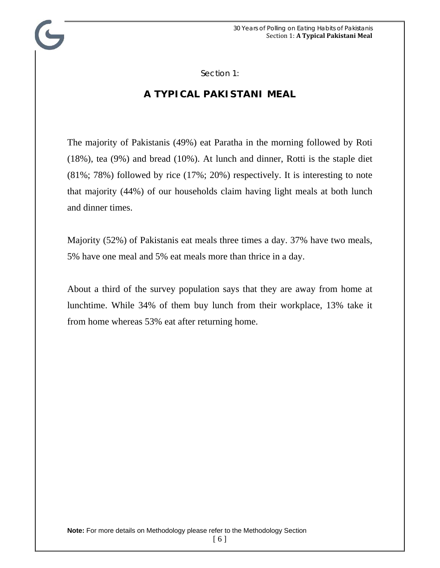Section 1:

### **A TYPICAL PAKISTANI MEAL**

The majority of Pakistanis (49%) eat Paratha in the morning followed by Roti (18%), tea (9%) and bread (10%). At lunch and dinner, Rotti is the staple diet (81%; 78%) followed by rice (17%; 20%) respectively. It is interesting to note that majority (44%) of our households claim having light meals at both lunch and dinner times.

Majority (52%) of Pakistanis eat meals three times a day. 37% have two meals, 5% have one meal and 5% eat meals more than thrice in a day.

About a third of the survey population says that they are away from home at lunchtime. While 34% of them buy lunch from their workplace, 13% take it from home whereas 53% eat after returning home.

[ 6 ]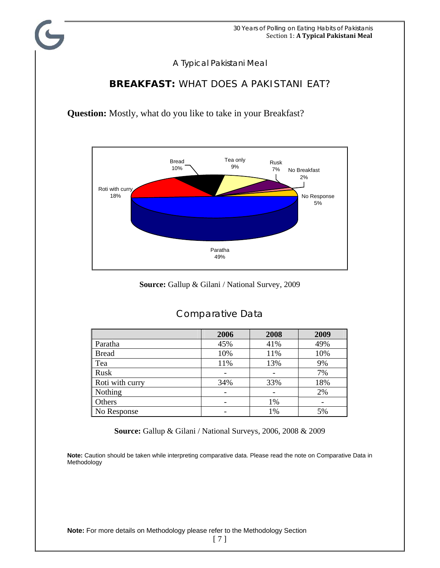### **BREAKFAST:** WHAT DOES A PAKISTANI EAT?

**Question:** Mostly, what do you like to take in your Breakfast?



**Source:** Gallup & Gilani / National Survey, 2009

|                 | 2006 | 2008 | 2009 |
|-----------------|------|------|------|
| Paratha         | 45%  | 41%  | 49%  |
| <b>Bread</b>    | 10%  | 11%  | 10%  |
| Tea             | 11%  | 13%  | 9%   |
| Rusk            |      |      | 7%   |
| Roti with curry | 34%  | 33%  | 18%  |
| Nothing         |      |      | 2%   |
| Others          |      | 1%   |      |
| No Response     |      | 1%   | 5%   |

#### Comparative Data

**Source:** Gallup & Gilani / National Surveys, 2006, 2008 & 2009

**Note:** Caution should be taken while interpreting comparative data. Please read the note on Comparative Data in Methodology

**Note:** For more details on Methodology please refer to the Methodology Section

[ 7 ]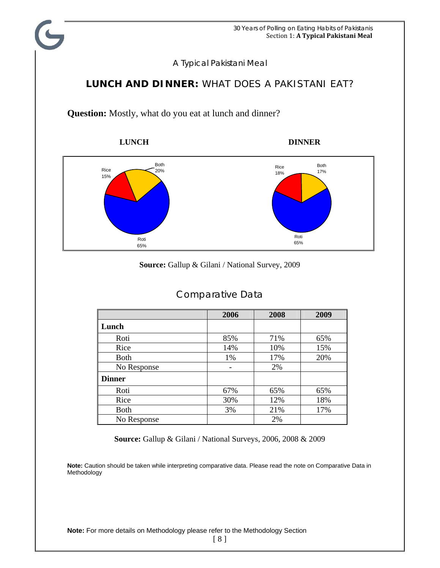### **LUNCH AND DINNER:** WHAT DOES A PAKISTANI EAT?

**Question:** Mostly, what do you eat at lunch and dinner?







#### **Source:** Gallup & Gilani / National Survey, 2009

|               | 2006 | 2008 | 2009 |
|---------------|------|------|------|
| Lunch         |      |      |      |
| Roti          | 85%  | 71%  | 65%  |
| Rice          | 14%  | 10%  | 15%  |
| <b>Both</b>   | 1%   | 17%  | 20%  |
| No Response   |      | 2%   |      |
| <b>Dinner</b> |      |      |      |
| Roti          | 67%  | 65%  | 65%  |
| Rice          | 30%  | 12%  | 18%  |
| <b>Both</b>   | 3%   | 21%  | 17%  |
| No Response   |      | 2%   |      |

#### Comparative Data

**Source:** Gallup & Gilani / National Surveys, 2006, 2008 & 2009

**Note:** Caution should be taken while interpreting comparative data. Please read the note on Comparative Data in Methodology

**Note:** For more details on Methodology please refer to the Methodology Section

[ 8 ]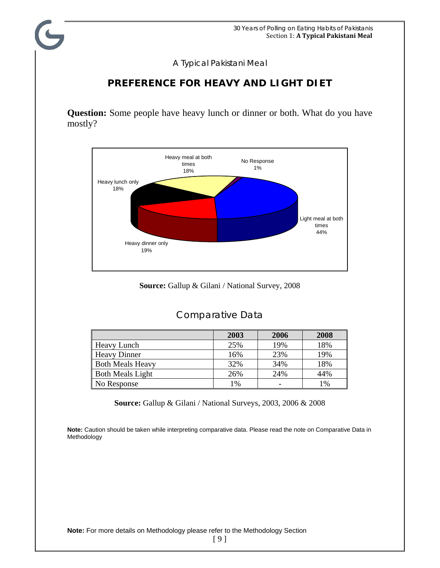#### **PREFERENCE FOR HEAVY AND LIGHT DIET**

**Question:** Some people have heavy lunch or dinner or both. What do you have mostly?



**Source:** Gallup & Gilani / National Survey, 2008

#### Comparative Data

|                         | 2003 | 2006 | 2008 |
|-------------------------|------|------|------|
| <b>Heavy Lunch</b>      | 25%  | 19%  | 18%  |
| <b>Heavy Dinner</b>     | 16%  | 23%  | 19%  |
| <b>Both Meals Heavy</b> | 32%  | 34%  | 18%  |
| <b>Both Meals Light</b> | 26%  | 24%  | 44%  |
| No Response             | 1%   | -    | 1%   |

**Source:** Gallup & Gilani / National Surveys, 2003, 2006 & 2008

**Note:** Caution should be taken while interpreting comparative data. Please read the note on Comparative Data in Methodology

**Note:** For more details on Methodology please refer to the Methodology Section

[ 9 ]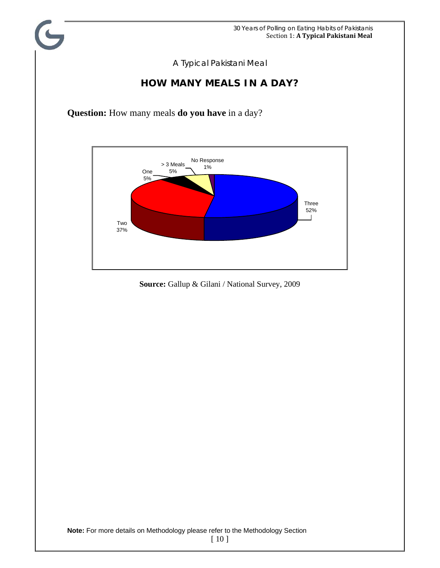#### **HOW MANY MEALS IN A DAY?**

**Question:** How many meals **do you have** in a day?



**Source:** Gallup & Gilani / National Survey, 2009

**Note:** For more details on Methodology please refer to the Methodology Section

[ 10 ]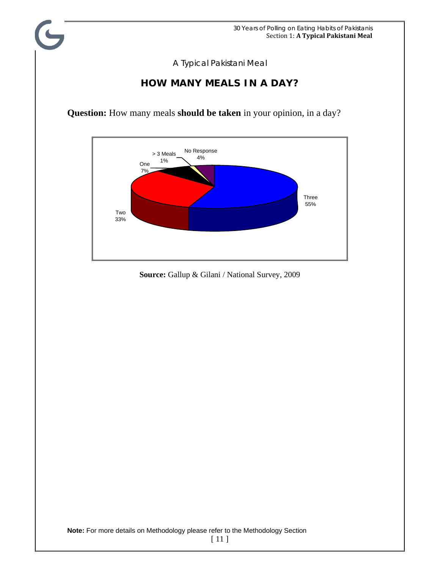### **HOW MANY MEALS IN A DAY?**

**Question:** How many meals **should be taken** in your opinion, in a day?



**Source:** Gallup & Gilani / National Survey, 2009

**Note:** For more details on Methodology please refer to the Methodology Section

[ 11 ]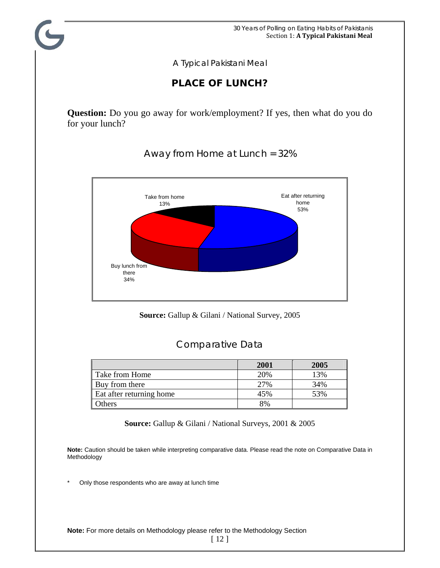### **PLACE OF LUNCH?**

**Question:** Do you go away for work/employment? If yes, then what do you do for your lunch?

Buy lunch from there 34% Eat after returning home 53% Take from home 13%

Away from Home at Lunch = 32%



#### Comparative Data

|                          | 2001 | 2005 |
|--------------------------|------|------|
| Take from Home           | 20%  | 13%  |
| Buy from there           | 27%  | 34%  |
| Eat after returning home | 45%  | 53%  |
| Others                   | 8%   |      |

**Source:** Gallup & Gilani / National Surveys, 2001 & 2005

**Note:** Caution should be taken while interpreting comparative data. Please read the note on Comparative Data in Methodology

Only those respondents who are away at lunch time

**Note:** For more details on Methodology please refer to the Methodology Section

[ 12 ]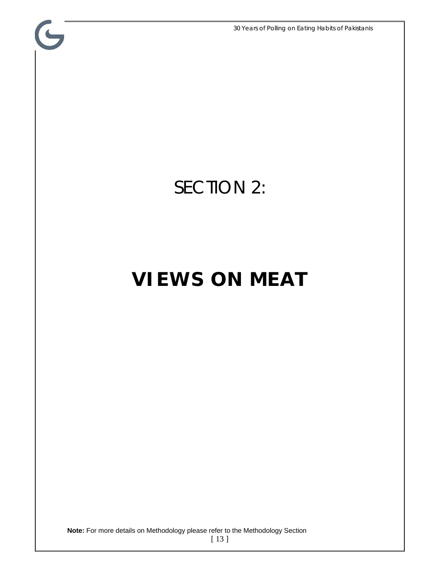30 Years of Polling on Eating Habits of Pakistanis

## SECTION 2:

 $\mathbf{G}$ 

## **VIEWS ON MEAT**

**Note:** For more details on Methodology please refer to the Methodology Section

[ 13 ]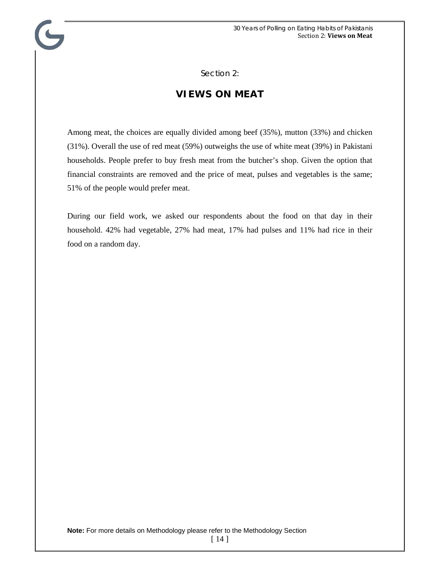Section 2:

#### **VIEWS ON MEAT**

Among meat, the choices are equally divided among beef (35%), mutton (33%) and chicken (31%). Overall the use of red meat (59%) outweighs the use of white meat (39%) in Pakistani households. People prefer to buy fresh meat from the butcher's shop. Given the option that financial constraints are removed and the price of meat, pulses and vegetables is the same; 51% of the people would prefer meat.

During our field work, we asked our respondents about the food on that day in their household. 42% had vegetable, 27% had meat, 17% had pulses and 11% had rice in their food on a random day.

<sup>[ 14 ]</sup>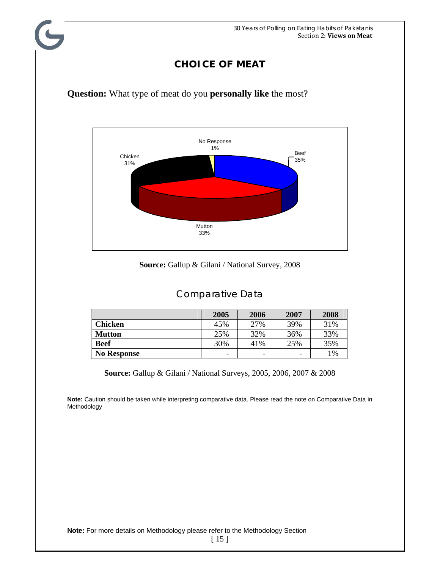## **CHOICE OF MEAT**



**Question:** What type of meat do you **personally like** the most?

**Source:** Gallup & Gilani / National Survey, 2008

#### Comparative Data

|                    | 2005                     | 2006                     | 2007 | 2008 |
|--------------------|--------------------------|--------------------------|------|------|
| <b>Chicken</b>     | 45%                      | 27%                      | 39%  | 31%  |
| <b>Mutton</b>      | 25%                      | 32%                      | 36%  | 33%  |
| <b>Beef</b>        | 30%                      | 41%                      | 25%  | 35%  |
| <b>No Response</b> | $\overline{\phantom{a}}$ | $\overline{\phantom{a}}$ | -    | 1%   |

**Source:** Gallup & Gilani / National Surveys, 2005, 2006, 2007 & 2008

**Note:** Caution should be taken while interpreting comparative data. Please read the note on Comparative Data in Methodology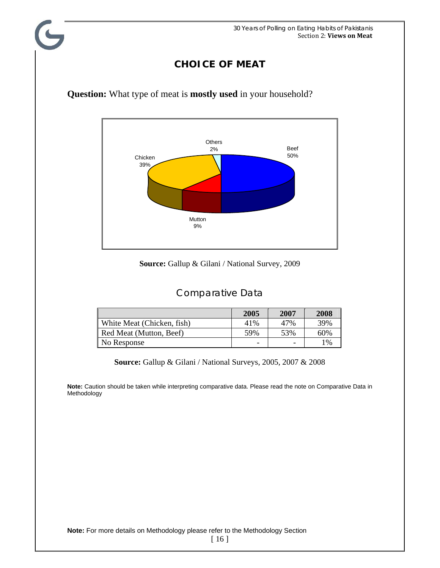## **CHOICE OF MEAT**



**Question:** What type of meat is **mostly used** in your household?

#### **Source:** Gallup & Gilani / National Survey, 2009

### Comparative Data

|                            | 2005 | 2007 | 2008 |
|----------------------------|------|------|------|
| White Meat (Chicken, fish) | 41%  | 47%  | 39%  |
| Red Meat (Mutton, Beef)    | 59%  | 53%  | 60%  |
| No Response                | -    | ۰    | 1%   |

**Source:** Gallup & Gilani / National Surveys, 2005, 2007 & 2008

**Note:** Caution should be taken while interpreting comparative data. Please read the note on Comparative Data in Methodology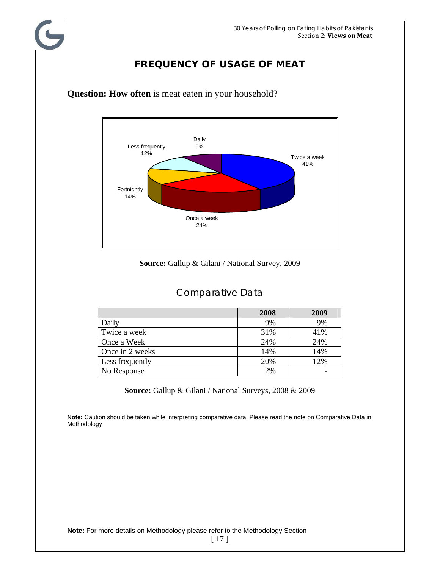### **FREQUENCY OF USAGE OF MEAT**



**Question: How often** is meat eaten in your household?

#### **Source:** Gallup & Gilani / National Survey, 2009

#### Comparative Data

|                 | 2008 | 2009 |
|-----------------|------|------|
| Daily           | 9%   | 9%   |
| Twice a week    | 31%  | 41%  |
| Once a Week     | 24%  | 24%  |
| Once in 2 weeks | 14%  | 14%  |
| Less frequently | 20%  | 12%  |
| No Response     | 2%   |      |

**Source:** Gallup & Gilani / National Surveys, 2008 & 2009

**Note:** Caution should be taken while interpreting comparative data. Please read the note on Comparative Data in Methodology

**Note:** For more details on Methodology please refer to the Methodology Section

[ 17 ]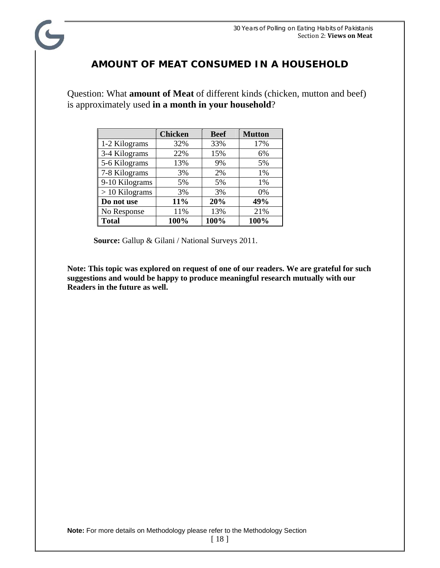## **AMOUNT OF MEAT CONSUMED IN A HOUSEHOLD**

Question: What **amount of Meat** of different kinds (chicken, mutton and beef) is approximately used **in a month in your household**?

|                  | <b>Chicken</b> | <b>Beef</b> | <b>Mutton</b> |
|------------------|----------------|-------------|---------------|
| 1-2 Kilograms    | 32%            | 33%         | 17%           |
| 3-4 Kilograms    | 22%            | 15%         | 6%            |
| 5-6 Kilograms    | 13%            | 9%          | 5%            |
| 7-8 Kilograms    | 3%             | 2%          | 1%            |
| 9-10 Kilograms   | 5%             | 5%          | 1%            |
| $> 10$ Kilograms | 3%             | 3%          | 0%            |
| Do not use       | 11%            | 20%         | 49%           |
| No Response      | 11%            | 13%         | 21%           |
| <b>Total</b>     | 100%           | 100%        | 100%          |

 **Source:** Gallup & Gilani / National Surveys 2011.

**Note: This topic was explored on request of one of our readers. We are grateful for such suggestions and would be happy to produce meaningful research mutually with our Readers in the future as well.**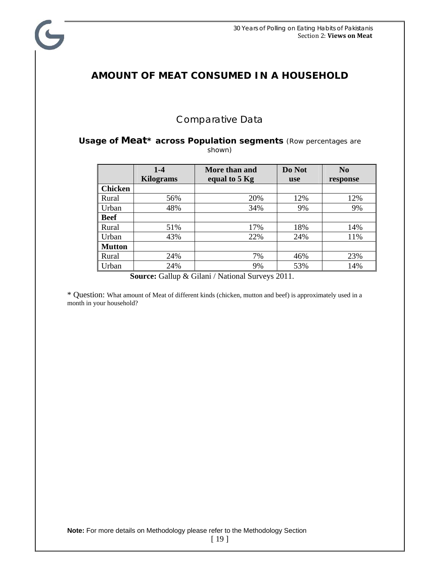### **AMOUNT OF MEAT CONSUMED IN A HOUSEHOLD**

C

#### Comparative Data

#### **Usage of Meat\* across Population segments** *(Row percentages are shown)*

|                | $1-4$<br><b>Kilograms</b> | More than and<br>equal to 5 Kg | Do Not<br><b>use</b> | N <sub>0</sub><br>response |
|----------------|---------------------------|--------------------------------|----------------------|----------------------------|
| <b>Chicken</b> |                           |                                |                      |                            |
| Rural          | 56%                       | 20%                            | 12%                  | 12%                        |
| Urban          | 48%                       | 34%                            | 9%                   | 9%                         |
| <b>Beef</b>    |                           |                                |                      |                            |
| Rural          | 51%                       | 17%                            | 18%                  | 14%                        |
| Urban          | 43%                       | 22%                            | 24%                  | 11%                        |
| <b>Mutton</b>  |                           |                                |                      |                            |
| Rural          | 24%                       | 7%                             | 46%                  | 23%                        |
| Urban          | 24%                       | 9%                             | 53%                  | 14%                        |

 **Source:** Gallup & Gilani / National Surveys 2011.

\* Question: What amount of Meat of different kinds (chicken, mutton and beef) is approximately used in a month in your household?

[ 19 ]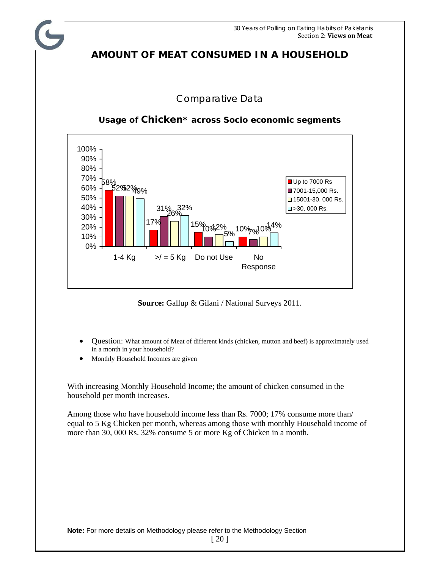30 Years of Polling on Eating Habits of Pakistanis Section 2: **Views on Meat**

### **AMOUNT OF MEAT CONSUMED IN A HOUSEHOLD**

#### Comparative Data



#### **Usage of Chicken\* across Socio economic segments**

**Source:** Gallup & Gilani / National Surveys 2011.

- Question: What amount of Meat of different kinds (chicken, mutton and beef) is approximately used in a month in your household?
- Monthly Household Incomes are given

With increasing Monthly Household Income; the amount of chicken consumed in the household per month increases.

Among those who have household income less than Rs. 7000; 17% consume more than/ equal to 5 Kg Chicken per month, whereas among those with monthly Household income of more than 30, 000 Rs. 32% consume 5 or more Kg of Chicken in a month.

[ 20 ]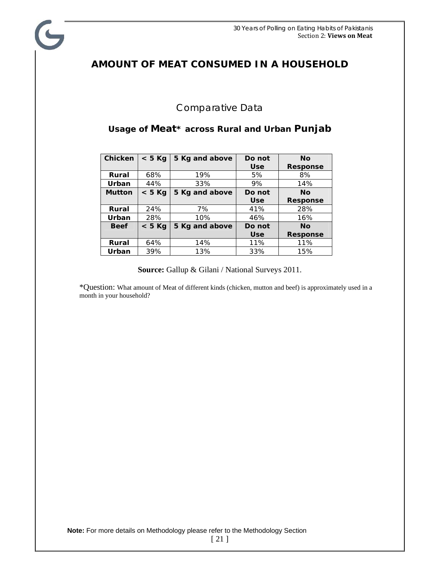## **AMOUNT OF MEAT CONSUMED IN A HOUSEHOLD**

 $\blacktriangleright$ 

#### Comparative Data

#### **Usage of Meat\* across Rural and Urban Punjab**

| <b>Chicken</b> | $< 5$ Kg | 5 Kg and above | Do not     | No              |
|----------------|----------|----------------|------------|-----------------|
|                |          |                | <b>Use</b> | <b>Response</b> |
| Rural          | 68%      | 19%            | 5%         | 8%              |
| Urban          | 44%      | 33%            | 9%         | 14%             |
| <b>Mutton</b>  | $< 5$ Kg | 5 Kg and above | Do not     | <b>No</b>       |
|                |          |                | <b>Use</b> | Response        |
| Rural          | 24%      | 7%             | 41%        | 28%             |
| Urban          | 28%      | 10%            | 46%        | 16%             |
| <b>Beef</b>    | $< 5$ Kg | 5 Kg and above | Do not     | <b>No</b>       |
|                |          |                | <b>Use</b> | <b>Response</b> |
| Rural          | 64%      | 14%            | 11%        | 11%             |
| Urban          | 39%      | 13%            | 33%        | 15%             |

#### **Source:** Gallup & Gilani / National Surveys 2011.

\*Question: What amount of Meat of different kinds (chicken, mutton and beef) is approximately used in a month in your household?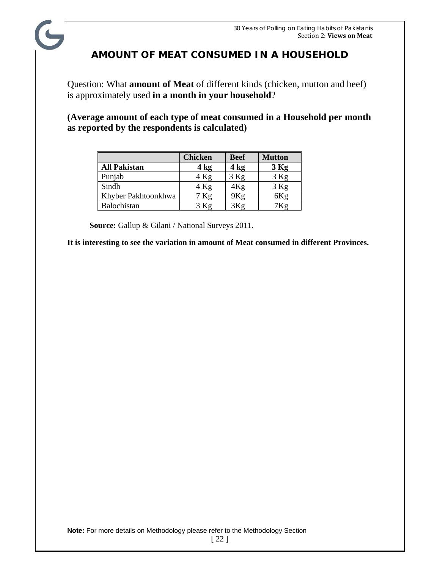## **AMOUNT OF MEAT CONSUMED IN A HOUSEHOLD**

Question: What **amount of Meat** of different kinds (chicken, mutton and beef) is approximately used **in a month in your household**?

**(Average amount of each type of meat consumed in a Household per month as reported by the respondents is calculated)** 

|                     | <b>Chicken</b> | <b>Beef</b> | <b>Mutton</b> |
|---------------------|----------------|-------------|---------------|
| <b>All Pakistan</b> | 4 kg           | 4 kg        | $3$ Kg        |
| Punjab              | $4$ Kg         | $3$ Kg      | $3$ Kg        |
| Sindh               | $4$ Kg         | 4Κg         | $3$ Kg        |
| Khyber Pakhtoonkhwa | 7 Kg           | 9Kg         | 6Kg           |
| Balochistan         |                |             |               |

 **Source:** Gallup & Gilani / National Surveys 2011.

**It is interesting to see the variation in amount of Meat consumed in different Provinces.**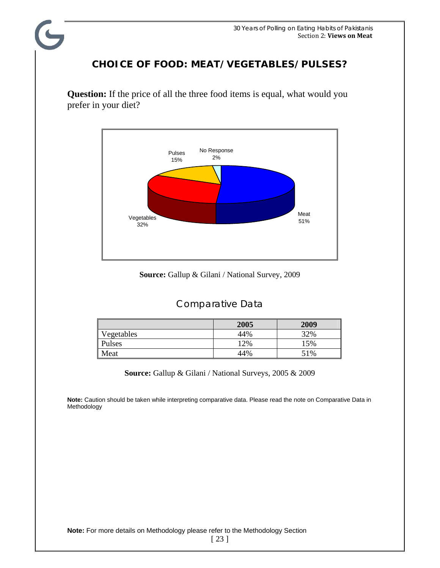### **CHOICE OF FOOD: MEAT/VEGETABLES/PULSES?**

**Question:** If the price of all the three food items is equal, what would you prefer in your diet?



**Source:** Gallup & Gilani / National Survey, 2009

#### Comparative Data

|            | 2005 | 2009 |
|------------|------|------|
| Vegetables | 44%  | 32%  |
| Pulses     | 12%  | 15%  |
| Meat       | 44%  | 51%  |

**Source:** Gallup & Gilani / National Surveys, 2005 & 2009

**Note:** Caution should be taken while interpreting comparative data. Please read the note on Comparative Data in Methodology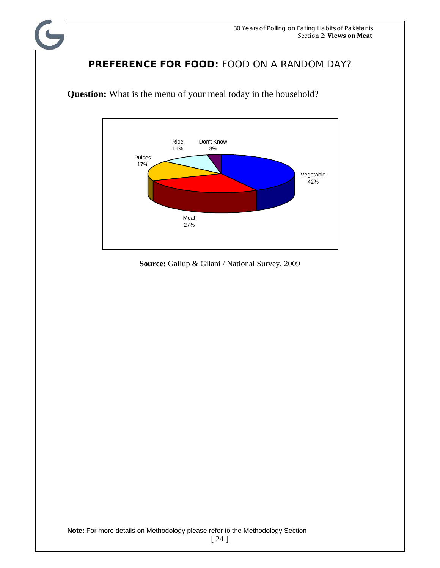## **PREFERENCE FOR FOOD:** FOOD ON A RANDOM DAY?



**Question:** What is the menu of your meal today in the household?

**Source:** Gallup & Gilani / National Survey, 2009

[ 24 ]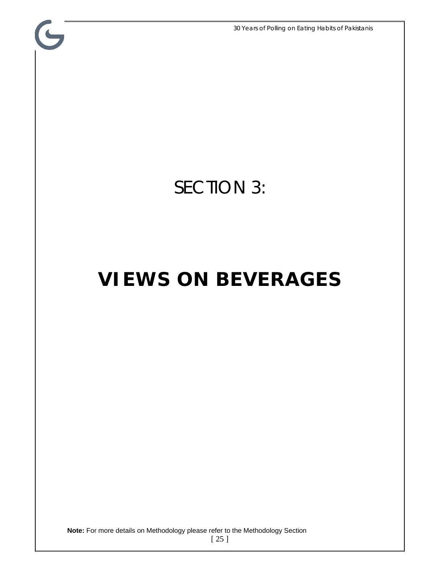30 Years of Polling on Eating Habits of Pakistanis

## SECTION 3:

G

## **VIEWS ON BEVERAGES**

**Note:** For more details on Methodology please refer to the Methodology Section

[ 25 ]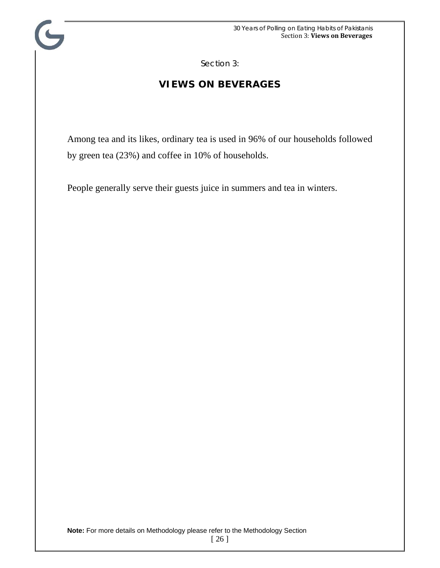Section 3:

## **VIEWS ON BEVERAGES**

Among tea and its likes, ordinary tea is used in 96% of our households followed by green tea (23%) and coffee in 10% of households.

People generally serve their guests juice in summers and tea in winters.

<sup>[ 26 ]</sup>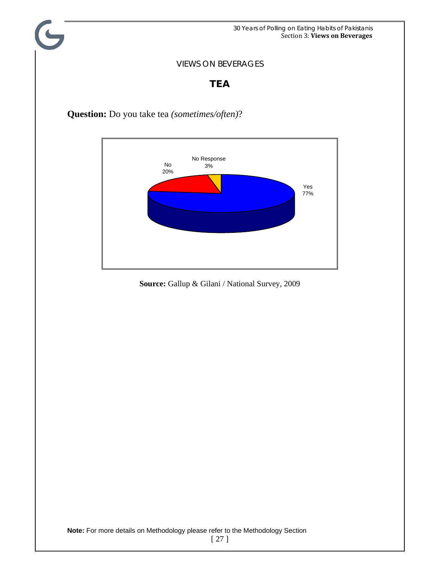30 Years of Polling on Eating Habits of Pakistanis Section 3: **Views on Beverages**

#### VIEWS ON BEVERAGES

### **TEA**

**Question:** Do you take tea *(sometimes/often)*?

C



**Source:** Gallup & Gilani / National Survey, 2009

**Note:** For more details on Methodology please refer to the Methodology Section

[ 27 ]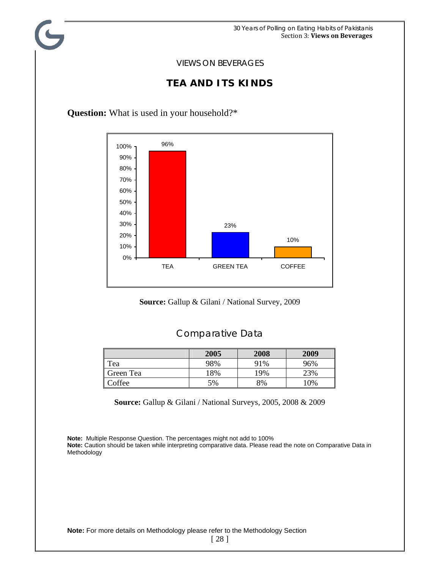#### **TEA AND ITS KINDS**

**Question:** What is used in your household?\*



**Source:** Gallup & Gilani / National Survey, 2009

#### Comparative Data

|           | 2005 | 2008 | 2009 |
|-----------|------|------|------|
| Tea       | 98%  | 91%  | 96%  |
| Green Tea | 18%  | 19%  | 23%  |
| Coffee    | 5%   | 8%   | 10%  |

**Source:** Gallup & Gilani / National Surveys, 2005, 2008 & 2009

**Note:** Multiple Response Question. The percentages might not add to 100% **Note:** Caution should be taken while interpreting comparative data. Please read the note on Comparative Data in Methodology

**Note:** For more details on Methodology please refer to the Methodology Section

[ 28 ]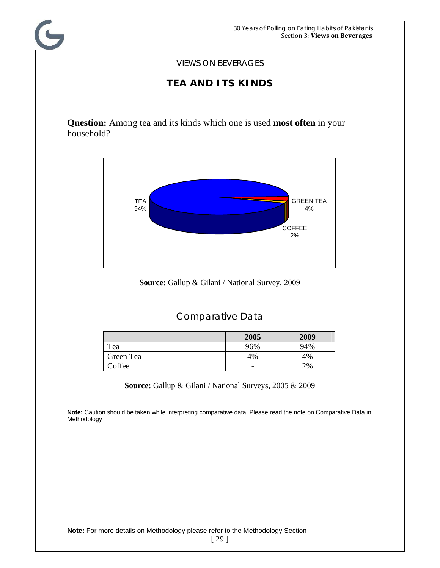### **TEA AND ITS KINDS**

**Question:** Among tea and its kinds which one is used **most often** in your household?



**Source:** Gallup & Gilani / National Survey, 2009

## Comparative Data

|           | 2005 | 2009 |
|-----------|------|------|
| Tea       | 96%  | 94%  |
| Green Tea | 4%   | 4%   |
| Coffee    | -    | 2%   |

**Source:** Gallup & Gilani / National Surveys, 2005 & 2009

**Note:** Caution should be taken while interpreting comparative data. Please read the note on Comparative Data in Methodology

**Note:** For more details on Methodology please refer to the Methodology Section

[ 29 ]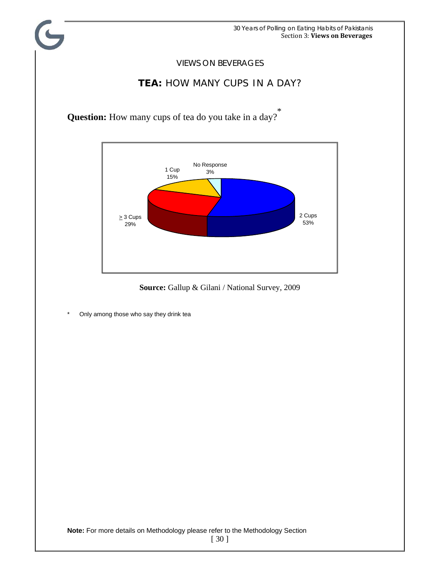

**Source:** Gallup & Gilani / National Survey, 2009

\* Only among those who say they drink tea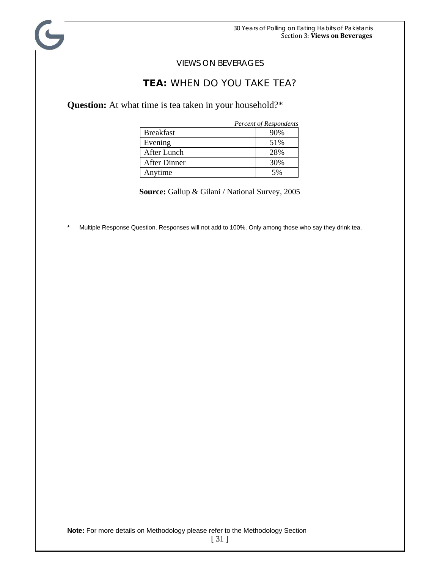#### **TEA:** WHEN DO YOU TAKE TEA?

**Question:** At what time is tea taken in your household?\*

|                     | <b>Percent of Respondents</b> |
|---------------------|-------------------------------|
| <b>Breakfast</b>    | 90%                           |
| Evening             | 51%                           |
| After Lunch         | 28%                           |
| <b>After Dinner</b> | 30%                           |
| Anytime             | 5%                            |

**Source:** Gallup & Gilani / National Survey, 2005

Multiple Response Question. Responses will not add to 100%. Only among those who say they drink tea.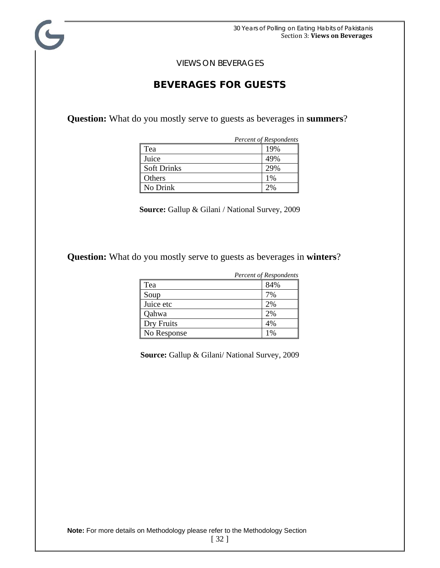#### **BEVERAGES FOR GUESTS**

**Question:** What do you mostly serve to guests as beverages in **summers**?

|                    | Percent of Respondents |
|--------------------|------------------------|
| Tea                | 19%                    |
| Juice              | 49%                    |
| <b>Soft Drinks</b> | 29%                    |
| Others             | 1%                     |
| No Drink           | $2\%$                  |

**Source:** Gallup & Gilani / National Survey, 2009

**Question:** What do you mostly serve to guests as beverages in **winters**?

|             | <b>Percent of Respondents</b> |
|-------------|-------------------------------|
| Tea         | 84%                           |
| Soup        | 7%                            |
| Juice etc   | 2%                            |
| Qahwa       | 2%                            |
| Dry Fruits  | 4%                            |
| No Response | l %                           |

**Source:** Gallup & Gilani/ National Survey, 2009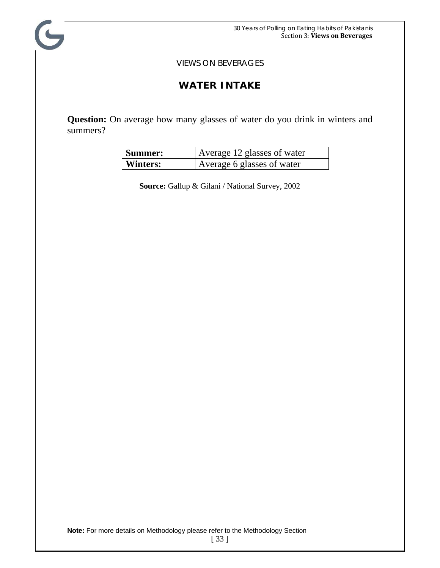C

### **WATER INTAKE**

**Question:** On average how many glasses of water do you drink in winters and summers?

| Summer:  | Average 12 glasses of water |
|----------|-----------------------------|
| Winters: | Average 6 glasses of water  |

**Source:** Gallup & Gilani / National Survey, 2002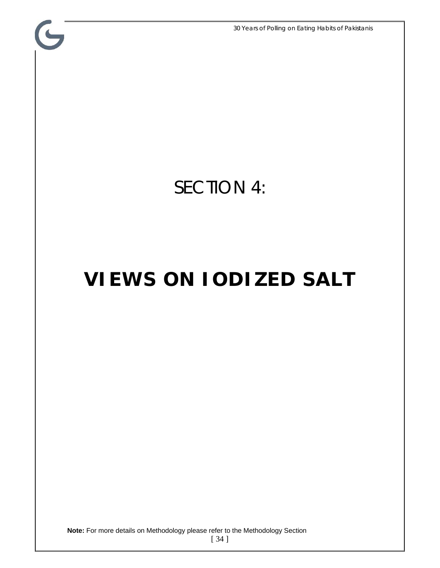30 Years of Polling on Eating Habits of Pakistanis

## SECTION 4:

 $\mathbf{G}$ 

## **VIEWS ON IODIZED SALT**

**Note:** For more details on Methodology please refer to the Methodology Section

[ 34 ]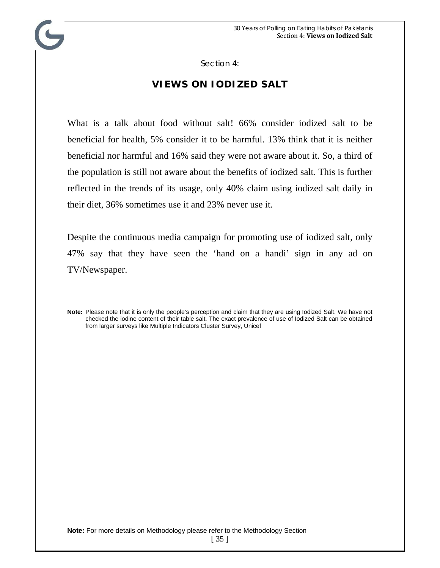Section 4:

### **VIEWS ON IODIZED SALT**

What is a talk about food without salt! 66% consider iodized salt to be beneficial for health, 5% consider it to be harmful. 13% think that it is neither beneficial nor harmful and 16% said they were not aware about it. So, a third of the population is still not aware about the benefits of iodized salt. This is further reflected in the trends of its usage, only 40% claim using iodized salt daily in their diet, 36% sometimes use it and 23% never use it.

Despite the continuous media campaign for promoting use of iodized salt, only 47% say that they have seen the 'hand on a handi' sign in any ad on TV/Newspaper.

**Note:** Please note that it is only the people's perception and claim that they are using Iodized Salt. We have not checked the iodine content of their table salt. The exact prevalence of use of Iodized Salt can be obtained from larger surveys like Multiple Indicators Cluster Survey, Unicef

<sup>[ 35 ]</sup>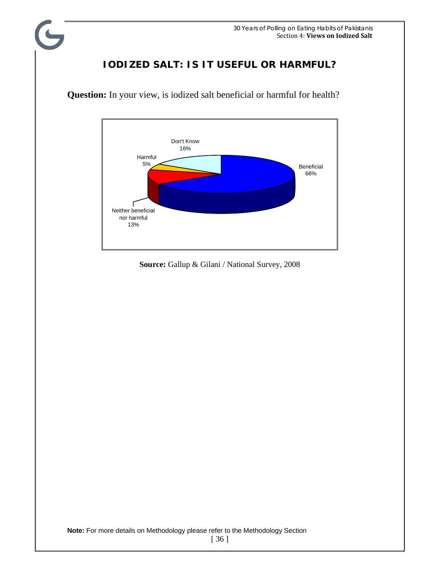## **IODIZED SALT: IS IT USEFUL OR HARMFUL?**



**Question:** In your view, is iodized salt beneficial or harmful for health?

 $\blacklozenge$ 

**Source:** Gallup & Gilani / National Survey, 2008

**Note:** For more details on Methodology please refer to the Methodology Section

[ 36 ]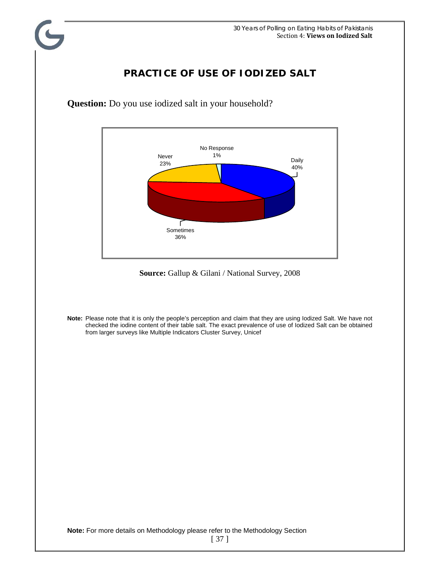### **PRACTICE OF USE OF IODIZED SALT**



**Question:** Do you use iodized salt in your household?

**Source:** Gallup & Gilani / National Survey, 2008

**Note:** Please note that it is only the people's perception and claim that they are using Iodized Salt. We have not checked the iodine content of their table salt. The exact prevalence of use of Iodized Salt can be obtained from larger surveys like Multiple Indicators Cluster Survey, Unicef

**Note:** For more details on Methodology please refer to the Methodology Section

[ 37 ]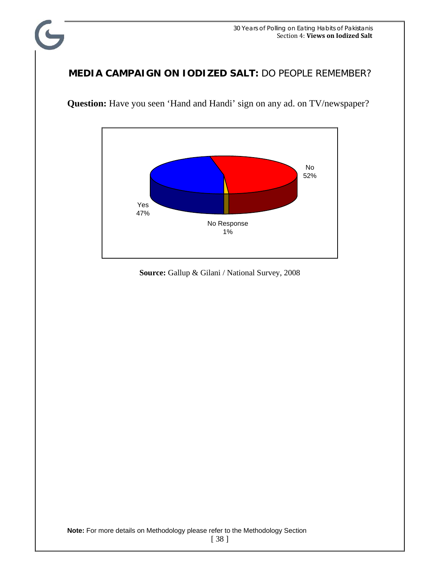### **MEDIA CAMPAIGN ON IODIZED SALT:** DO PEOPLE REMEMBER?

C



Question: Have you seen 'Hand and Handi' sign on any ad. on TV/newspaper?

**Source:** Gallup & Gilani / National Survey, 2008

**Note:** For more details on Methodology please refer to the Methodology Section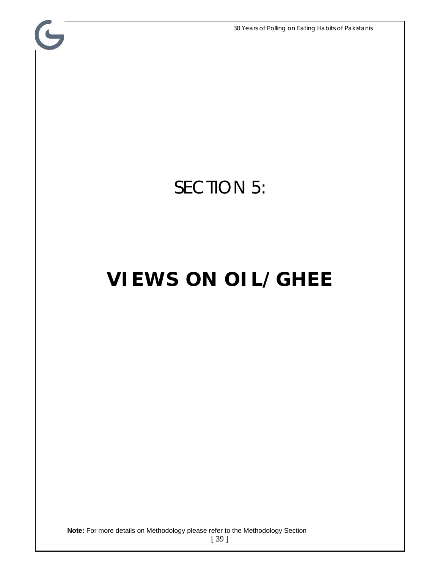30 Years of Polling on Eating Habits of Pakistanis

## SECTION 5:

 $\mathbf{G}$ 

## **VIEWS ON OIL/GHEE**

**Note:** For more details on Methodology please refer to the Methodology Section

[ 39 ]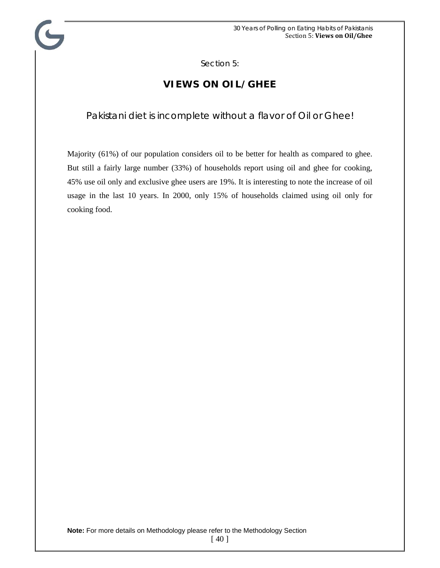Section 5:

## **VIEWS ON OIL/GHEE**

#### Pakistani diet is incomplete without a flavor of Oil or Ghee!

Majority (61%) of our population considers oil to be better for health as compared to ghee. But still a fairly large number (33%) of households report using oil and ghee for cooking, 45% use oil only and exclusive ghee users are 19%. It is interesting to note the increase of oil usage in the last 10 years. In 2000, only 15% of households claimed using oil only for cooking food.

[ 40 ]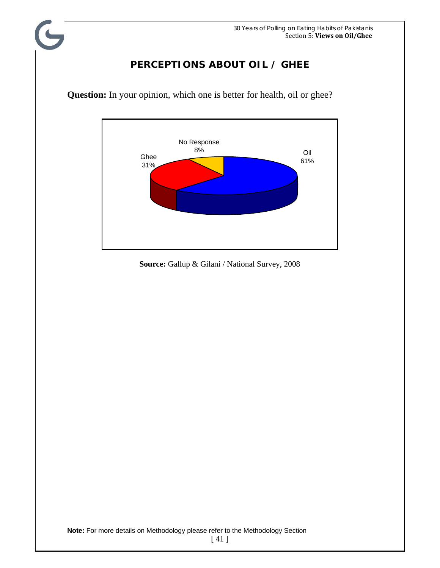### **PERCEPTIONS ABOUT OIL / GHEE**



**Question:** In your opinion, which one is better for health, oil or ghee?

**Source:** Gallup & Gilani / National Survey, 2008

[ 41 ]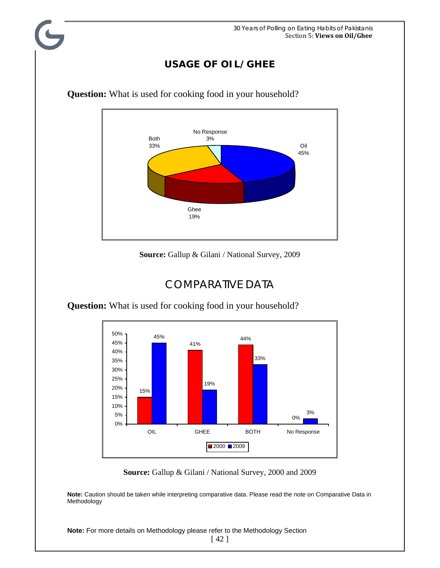## **USAGE OF OIL/GHEE**



**Question:** What is used for cooking food in your household?

**Source:** Gallup & Gilani / National Survey, 2009

## COMPARATIVE DATA

**Question:** What is used for cooking food in your household?



**Source:** Gallup & Gilani / National Survey, 2000 and 2009

**Note:** Caution should be taken while interpreting comparative data. Please read the note on Comparative Data in Methodology

**Note:** For more details on Methodology please refer to the Methodology Section

[ 42 ]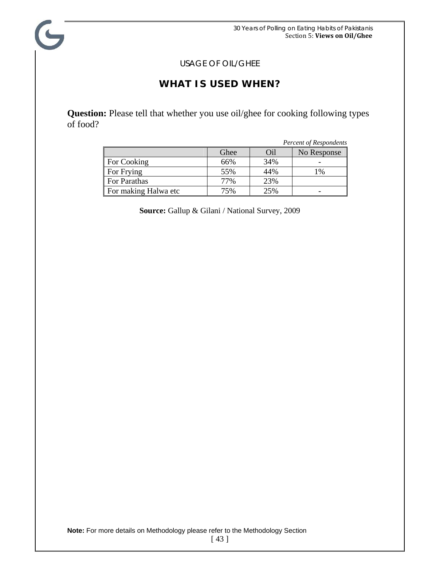USAGE OF OIL/GHEE

C

### **WHAT IS USED WHEN?**

**Question:** Please tell that whether you use oil/ghee for cooking following types of food?

|                      |      |     | <b>Percent of Respondents</b> |
|----------------------|------|-----|-------------------------------|
|                      | Ghee | Oil | No Response                   |
| For Cooking          | 66%  | 34% |                               |
| For Frying           | 55%  | 44% | 1%                            |
| For Parathas         | 77%  | 23% |                               |
| For making Halwa etc | 75%  | 25% |                               |

**Source:** Gallup & Gilani / National Survey, 2009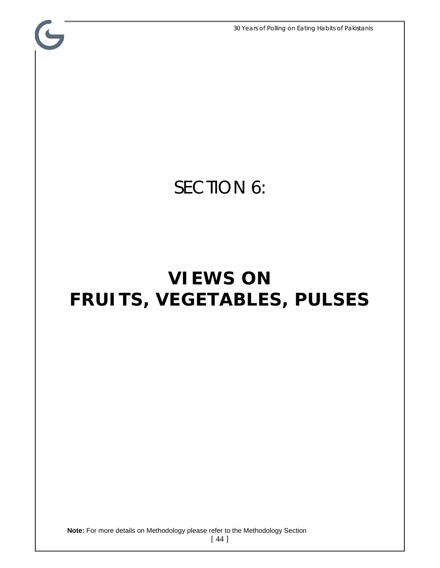C SECTION 6: **VIEWS ON FRUITS, VEGETABLES, PULSES** 

**Note:** For more details on Methodology please refer to the Methodology Section

[ 44 ]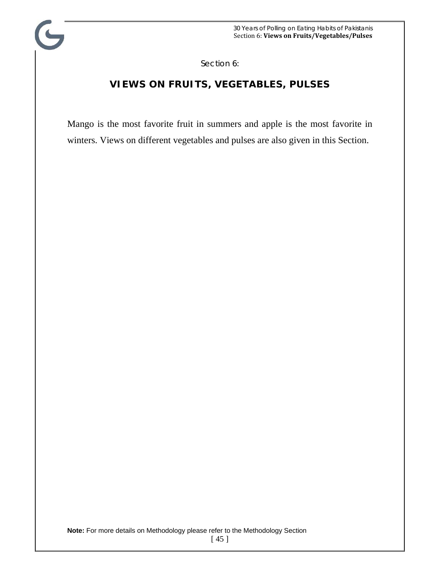Section 6:

C

## **VIEWS ON FRUITS, VEGETABLES, PULSES**

Mango is the most favorite fruit in summers and apple is the most favorite in winters. Views on different vegetables and pulses are also given in this Section.

<sup>[ 45 ]</sup>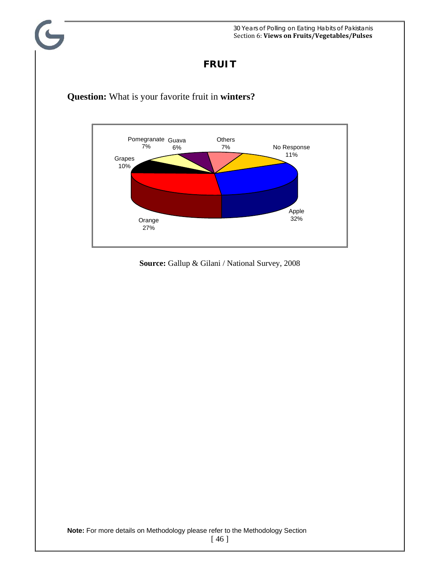### **FRUIT**





**Source:** Gallup & Gilani / National Survey, 2008

**Note:** For more details on Methodology please refer to the Methodology Section

[ 46 ]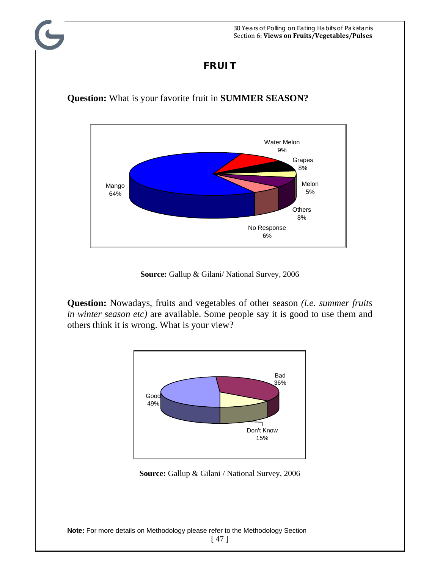### **FRUIT**

**Question:** What is your favorite fruit in **SUMMER SEASON?** 



**Source:** Gallup & Gilani/ National Survey, 2006

**Question:** Nowadays, fruits and vegetables of other season *(i.e. summer fruits in winter season etc)* are available. Some people say it is good to use them and others think it is wrong. What is your view?



**Source:** Gallup & Gilani / National Survey, 2006

**Note:** For more details on Methodology please refer to the Methodology Section

[ 47 ]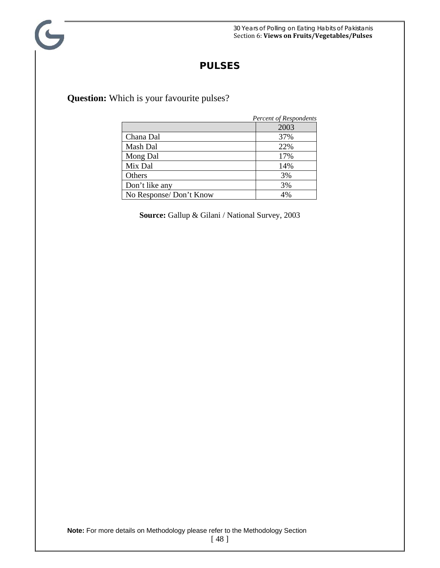#### **PULSES**

**Question:** Which is your favourite pulses?

G

|                        | <b>Percent of Respondents</b> |
|------------------------|-------------------------------|
|                        | 2003                          |
| Chana Dal              | 37%                           |
| Mash Dal               | 22%                           |
| Mong Dal               | 17%                           |
| Mix Dal                | 14%                           |
| Others                 | 3%                            |
| Don't like any         | 3%                            |
| No Response/Don't Know | 4%                            |

**Source:** Gallup & Gilani / National Survey, 2003

**Note:** For more details on Methodology please refer to the Methodology Section

[ 48 ]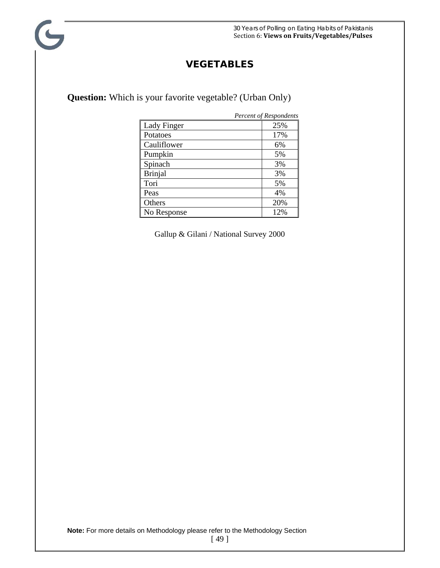### **VEGETABLES**

**Question:** Which is your favorite vegetable? (Urban Only)

G

|                    | <b>Percent of Respondents</b> |
|--------------------|-------------------------------|
| <b>Lady Finger</b> | 25%                           |
| Potatoes           | 17%                           |
| Cauliflower        | 6%                            |
| Pumpkin            | 5%                            |
| Spinach            | 3%                            |
| <b>Brinjal</b>     | 3%                            |
| Tori               | 5%                            |
| Peas               | 4%                            |
| Others             | 20%                           |
| No Response        | 12%                           |

Gallup & Gilani / National Survey 2000

**Note:** For more details on Methodology please refer to the Methodology Section

[ 49 ]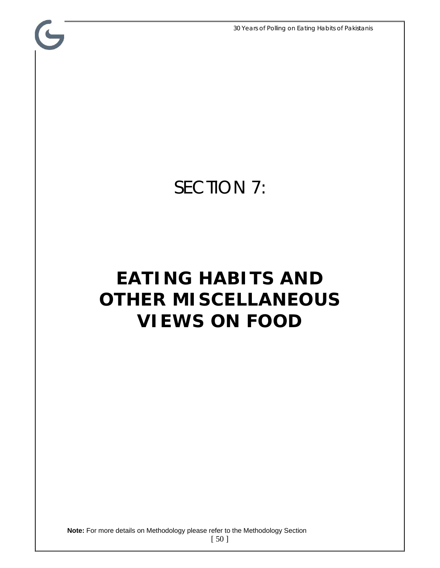30 Years of Polling on Eating Habits of Pakistanis

## SECTION 7:

C

## **EATING HABITS AND OTHER MISCELLANEOUS VIEWS ON FOOD**

**Note:** For more details on Methodology please refer to the Methodology Section

[ 50 ]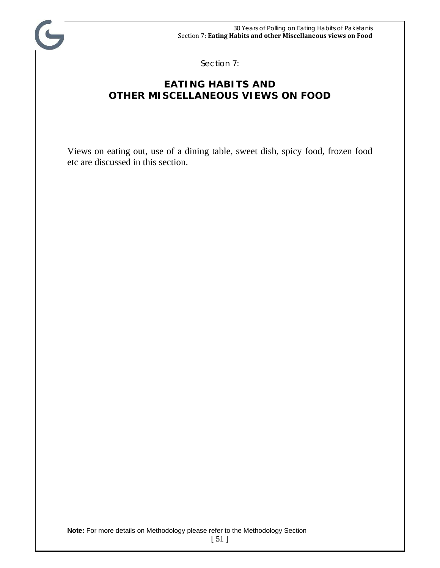

Section 7:

## **EATING HABITS AND OTHER MISCELLANEOUS VIEWS ON FOOD**

Views on eating out, use of a dining table, sweet dish, spicy food, frozen food etc are discussed in this section.

**Note:** For more details on Methodology please refer to the Methodology Section

[ 51 ]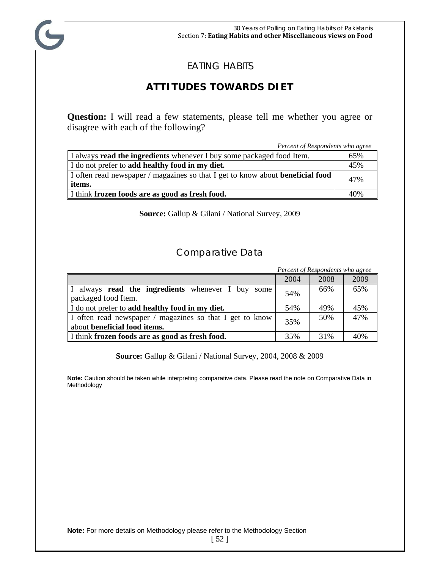

### EATING HABITS

## **ATTITUDES TOWARDS DIET**

**Question:** I will read a few statements, please tell me whether you agree or disagree with each of the following?

 *Percent of Respondents who agree*  I always **read the ingredients** whenever I buy some packaged food Item. 65% I do not prefer to **add healthy food in my diet.**  $\vert$  45% I often read newspaper / magazines so that I get to know about **beneficial food**  $47\%$ I think **frozen foods are as good as fresh food.** 40%

**Source:** Gallup & Gilani / National Survey, 2009

#### Comparative Data

|                                                                                                 |      | Percent of Respondents who agree |      |
|-------------------------------------------------------------------------------------------------|------|----------------------------------|------|
|                                                                                                 | 2004 | 2008                             | 2009 |
| I always read the ingredients whenever I buy some<br>packaged food Item.                        | 54%  | 66%                              | 65%  |
| I do not prefer to add healthy food in my diet.                                                 | 54%  | 49%                              | 45%  |
| I often read newspaper / magazines so that I get to know<br>about <b>beneficial food items.</b> |      | 50%                              | 47%  |
| I think frozen foods are as good as fresh food.                                                 | 35%  | 31%                              | 40%  |

**Source:** Gallup & Gilani / National Survey, 2004, 2008 & 2009

**Note:** Caution should be taken while interpreting comparative data. Please read the note on Comparative Data in Methodology

**Note:** For more details on Methodology please refer to the Methodology Section

[ 52 ]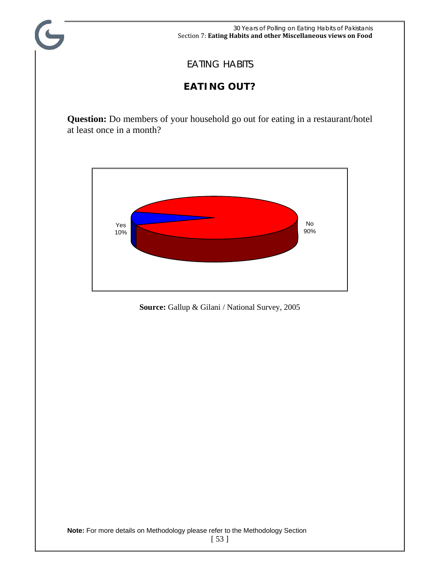

## EATING HABITS

C

## **EATING OUT?**

**Question:** Do members of your household go out for eating in a restaurant/hotel at least once in a month?



**Source:** Gallup & Gilani / National Survey, 2005

<sup>[ 53 ]</sup>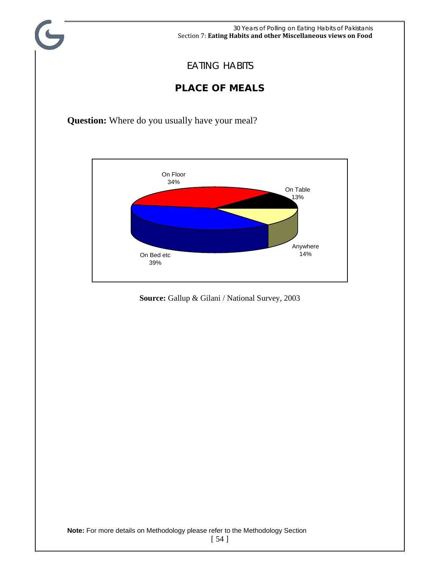

### EATING HABITS

## **PLACE OF MEALS**

**Question:** Where do you usually have your meal?

 $\overline{C}$ 



**Source:** Gallup & Gilani / National Survey, 2003

[ 54 ]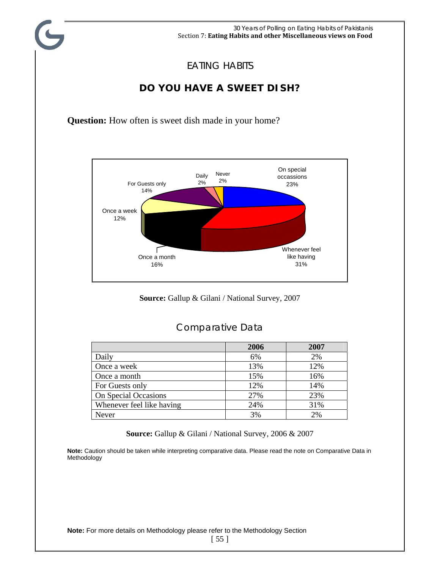

#### EATING HABITS

## **DO YOU HAVE A SWEET DISH?**

**Question:** How often is sweet dish made in your home?



**Source:** Gallup & Gilani / National Survey, 2007

#### Comparative Data

|                           | 2006 | 2007 |
|---------------------------|------|------|
| Daily                     | 6%   | 2%   |
| Once a week               | 13%  | 12%  |
| Once a month              | 15%  | 16%  |
| For Guests only           | 12%  | 14%  |
| On Special Occasions      | 27%  | 23%  |
| Whenever feel like having | 24%  | 31%  |
| Never                     | 3%   | 2%   |

**Source:** Gallup & Gilani / National Survey, 2006 & 2007

**Note:** Caution should be taken while interpreting comparative data. Please read the note on Comparative Data in Methodology

[ 55 ]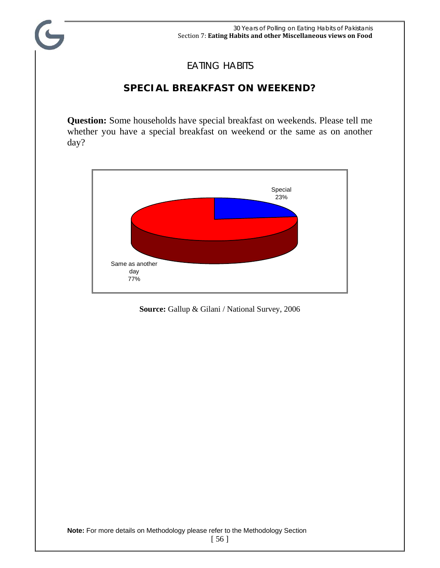## EATING HABITS

## **SPECIAL BREAKFAST ON WEEKEND?**

**Question:** Some households have special breakfast on weekends. Please tell me whether you have a special breakfast on weekend or the same as on another day?



**Source:** Gallup & Gilani / National Survey, 2006

<sup>[ 56 ]</sup>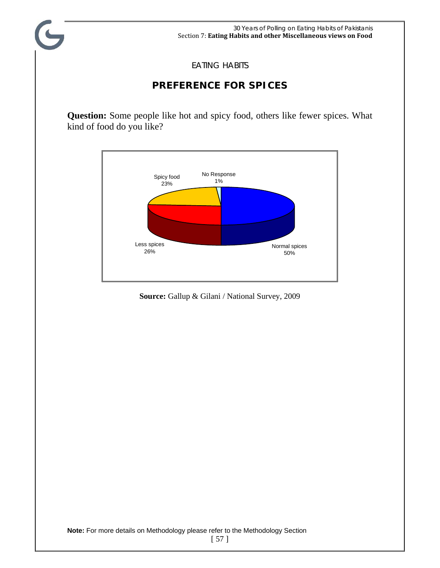

EATING HABITS

## **PREFERENCE FOR SPICES**

**Question:** Some people like hot and spicy food, others like fewer spices. What kind of food do you like?



**Source:** Gallup & Gilani / National Survey, 2009

<sup>[ 57 ]</sup>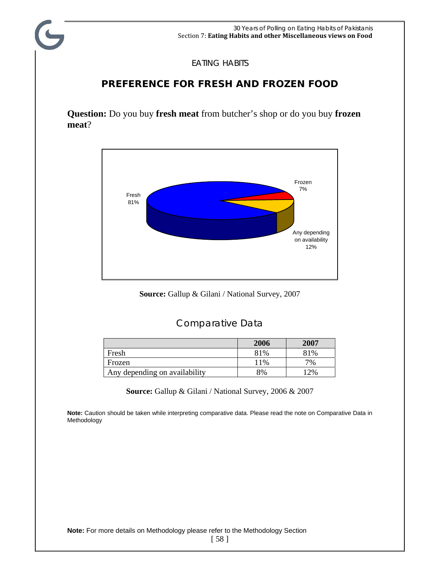EATING HABITS

## **PREFERENCE FOR FRESH AND FROZEN FOOD**

**Question:** Do you buy **fresh meat** from butcher's shop or do you buy **frozen meat**?



**Source:** Gallup & Gilani / National Survey, 2007

#### Comparative Data

|                               | 2006 | 2007 |
|-------------------------------|------|------|
| Fresh                         | 81%  | 81%  |
| Frozen                        | 11\% | 7%   |
| Any depending on availability | 8%   | 12%  |

**Source:** Gallup & Gilani / National Survey, 2006 & 2007

**Note:** Caution should be taken while interpreting comparative data. Please read the note on Comparative Data in Methodology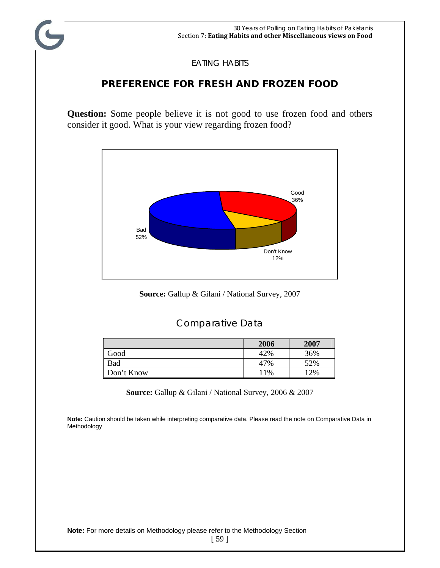

EATING HABITS

### **PREFERENCE FOR FRESH AND FROZEN FOOD**

**Question:** Some people believe it is not good to use frozen food and others consider it good. What is your view regarding frozen food?



**Source:** Gallup & Gilani / National Survey, 2007

#### Comparative Data

|            | 2006 | 2007   |
|------------|------|--------|
| Good       | 42%  | 36%    |
| Bad        | 47%  | 52%    |
| Don't Know | 11%  | $12\%$ |

**Source:** Gallup & Gilani / National Survey, 2006 & 2007

**Note:** Caution should be taken while interpreting comparative data. Please read the note on Comparative Data in Methodology

**Note:** For more details on Methodology please refer to the Methodology Section

[ 59 ]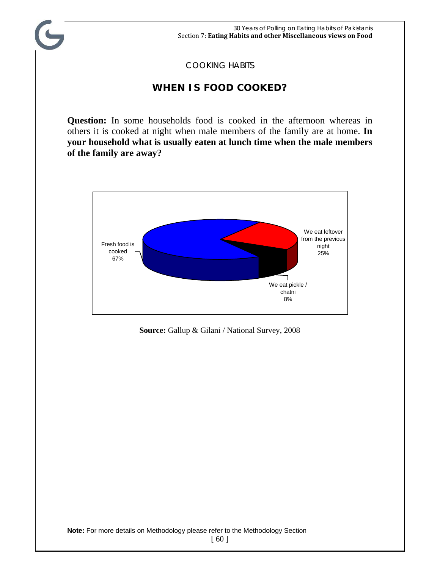#### COOKING HABITS

#### **WHEN IS FOOD COOKED?**

**Question:** In some households food is cooked in the afternoon whereas in others it is cooked at night when male members of the family are at home. **In your household what is usually eaten at lunch time when the male members of the family are away?** 



**Source:** Gallup & Gilani / National Survey, 2008

[ 60 ]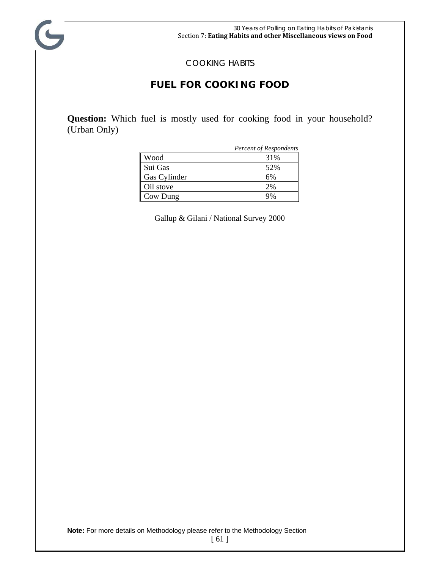

#### COOKING HABITS

#### **FUEL FOR COOKING FOOD**

**Question:** Which fuel is mostly used for cooking food in your household? (Urban Only)

|              | Percent of Respondents |
|--------------|------------------------|
| Wood         | 31%                    |
| Sui Gas      | 52%                    |
| Gas Cylinder | 6%                     |
| Oil stove    | 2%                     |
| Cow Dung     |                        |

Gallup & Gilani / National Survey 2000

<sup>[ 61 ]</sup>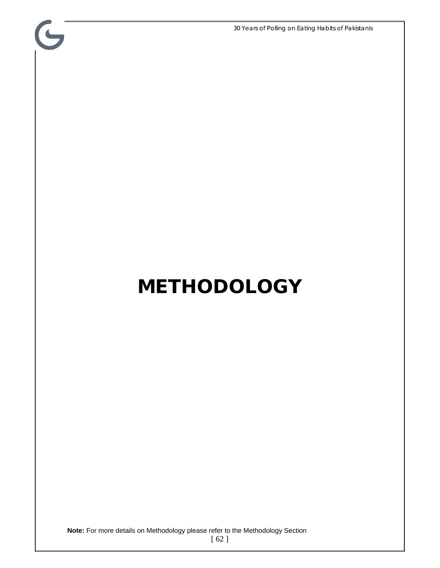30 Years of Polling on Eating Habits of Pakistanis

# **METHODOLOGY**

 $\mathbf{G}$ 

**Note:** For more details on Methodology please refer to the Methodology Section

[ 62 ]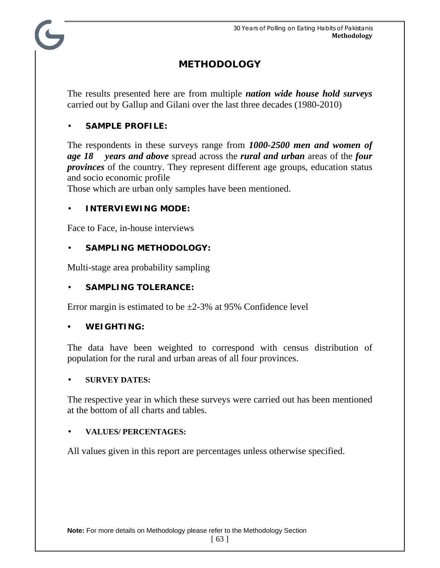## **METHODOLOGY**

The results presented here are from multiple *nation wide house hold surveys* carried out by Gallup and Gilani over the last three decades (1980-2010)

#### • **SAMPLE PROFILE:**

The respondents in these surveys range from *1000-2500 men and women of age 18 years and above* spread across the *rural and urban* areas of the *four provinces* of the country. They represent different age groups, education status and socio economic profile

Those which are urban only samples have been mentioned.

#### • **INTERVIEWING MODE:**

Face to Face, in-house interviews

#### • **SAMPLING METHODOLOGY:**

Multi-stage area probability sampling

#### • **SAMPLING TOLERANCE:**

Error margin is estimated to be  $\pm 2{\text -}3\%$  at 95% Confidence level

#### y **WEIGHTING:**

The data have been weighted to correspond with census distribution of population for the rural and urban areas of all four provinces.

#### • **SURVEY DATES:**

The respective year in which these surveys were carried out has been mentioned at the bottom of all charts and tables.

#### • **VALUES/ PERCENTAGES:**

All values given in this report are percentages unless otherwise specified.

[ 63 ]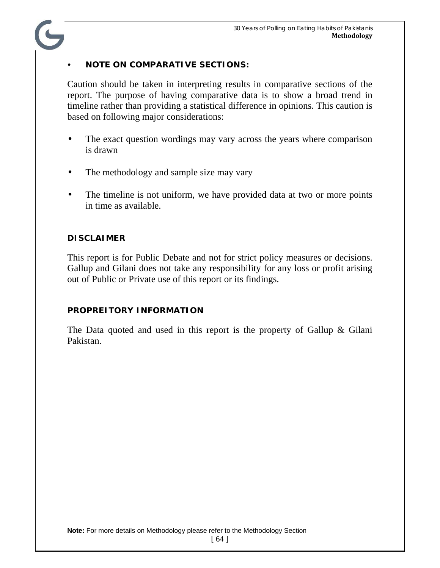#### **NOTE ON COMPARATIVE SECTIONS:**

Caution should be taken in interpreting results in comparative sections of the report. The purpose of having comparative data is to show a broad trend in timeline rather than providing a statistical difference in opinions. This caution is based on following major considerations:

- The exact question wordings may vary across the years where comparison is drawn
- The methodology and sample size may vary
- The timeline is not uniform, we have provided data at two or more points in time as available.

#### **DISCLAIMER**

This report is for Public Debate and not for strict policy measures or decisions. Gallup and Gilani does not take any responsibility for any loss or profit arising out of Public or Private use of this report or its findings.

#### **PROPREITORY INFORMATION**

The Data quoted and used in this report is the property of Gallup & Gilani Pakistan.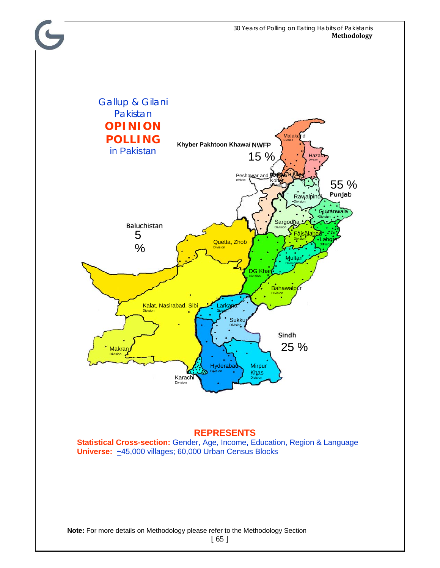

#### **REPRESENTS**

**Statistical Cross-section:** Gender, Age, Income, Education, Region & Language Universe: ~45,000 villages; 60,000 Urban Census Blocks

**Note:** For more details on Methodology please refer to the Methodology Section

[ 65 ]